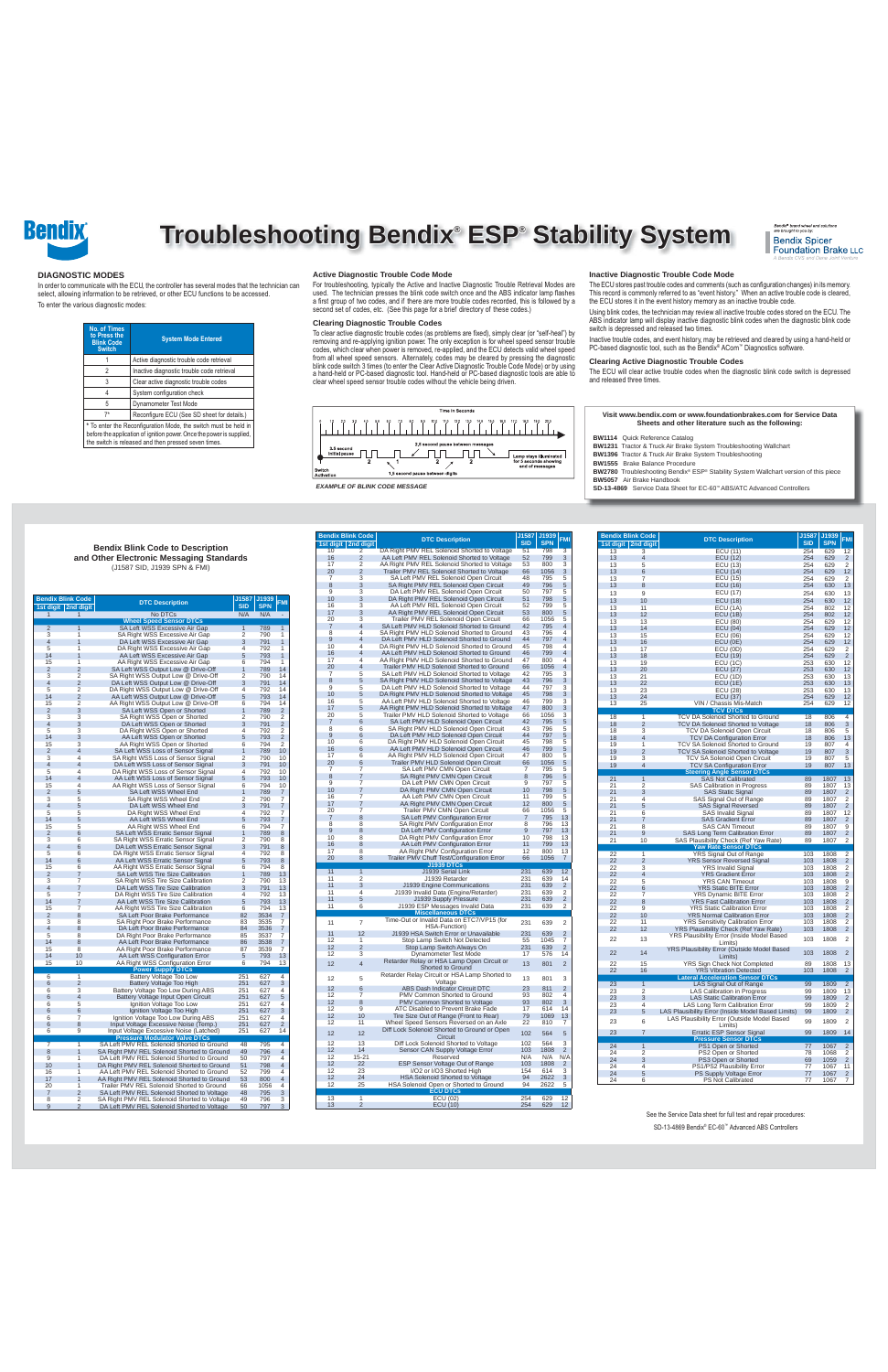

# **Troubleshooting Bendix® ESP® Stability System**



See the Service Data sheet for full test and repair procedures:

SD-13-4869 Bendix® EC-60™ Advanced ABS Controllers

|                     | <b>Bendix Blink Code</b><br>1st digit   2nd digit | <b>DTC Description</b>                                                                    | J1587<br><b>SID</b> | J1939<br><b>SPN</b> | <b>FMI</b>          |
|---------------------|---------------------------------------------------|-------------------------------------------------------------------------------------------|---------------------|---------------------|---------------------|
|                     | 1                                                 | No DTCs                                                                                   | N/A                 | N/A                 |                     |
|                     |                                                   | <b>Wheel Speed Sensor DTCs</b>                                                            |                     |                     |                     |
| $\overline{2}$      | $\overline{1}$                                    | SA Left WSS Excessive Air Gap                                                             | $\overline{1}$      | 789                 | 1                   |
| 3                   | 1                                                 | SA Right WSS Excessive Air Gap                                                            | 2                   | 790                 | 1                   |
| $\overline{4}$      | 1                                                 | DA Left WSS Excessive Air Gap                                                             | 3                   | 791                 | 1<br>1              |
| 5<br>14             | $\overline{1}$<br>1                               | DA Right WSS Excessive Air Gap<br>AA Left WSS Excessive Air Gap                           | $\overline{4}$<br>5 | 792<br>793          | 1                   |
| 15                  | 1                                                 | AA Right WSS Excessive Air Gap                                                            | 6                   | 794                 | 1                   |
| $\overline{2}$      | $\overline{2}$                                    | SA Left WSS Output Low @ Drive-Off                                                        | 1                   | 789                 | 14                  |
| 3                   | $\overline{2}$                                    | SA Right WSS Output Low @ Drive-Off                                                       | $\overline{2}$      | 790                 | 14                  |
| $\overline{4}$      | $\overline{2}$                                    | DA Left WSS Output Low @ Drive-Off                                                        | 3                   | 791                 | 14                  |
| 5                   | $\overline{2}$                                    | DA Right WSS Output Low @ Drive-Off                                                       | $\overline{4}$      | 792                 | 14                  |
| 14<br>15            | $\overline{2}$<br>2                               | AA Left WSS Output Low @ Drive-Off<br>AA Right WSS Output Low @ Drive-Off                 | 5<br>6              | 793<br>794          | 14<br>14            |
| $\overline{2}$      | 3                                                 | SA Left WSS Open or Shorted                                                               | 1                   | 789                 | 2                   |
| 3                   | 3                                                 | SA Right WSS Open or Shorted                                                              | $\overline{2}$      | 790                 | 2                   |
| $\overline{4}$      | 3                                                 | DA Left WSS Open or Shorted                                                               | 3                   | 791                 | $\overline{2}$      |
| 5                   | 3                                                 | DA Right WSS Open or Shorted                                                              | 4                   | 792                 | 2                   |
| 14                  | 3                                                 | AA Left WSS Open or Shorted                                                               | 5                   | 793                 | $\overline{2}$      |
| 15                  | 3                                                 | AA Right WSS Open or Shorted                                                              | 6                   | 794                 | $\overline{2}$      |
| $\overline{2}$      | $\overline{4}$                                    | SA Left WSS Loss of Sensor Signal                                                         | $\mathbf{1}$        | 789                 | 10                  |
| 3<br>$\overline{4}$ | $\overline{4}$<br>$\overline{4}$                  | SA Right WSS Loss of Sensor Signal<br>DA Left WSS Loss of Sensor Signal                   | $\overline{2}$<br>3 | 790<br>791          | 10<br>10            |
| 5                   | 4                                                 | DA Right WSS Loss of Sensor Signal                                                        | 4                   | 792                 | 10                  |
| 14                  | $\overline{4}$                                    | AA Left WSS Loss of Sensor Signal                                                         | 5                   | 793                 | 10                  |
| 15                  | 4                                                 | AA Right WSS Loss of Sensor Signal                                                        | 6                   | 794                 | 10                  |
| $\overline{2}$      | 5                                                 | SA Left WSS Wheel End                                                                     | 1                   | 789                 | 7                   |
| 3                   | 5                                                 | SA Right WSS Wheel End                                                                    | $\overline{2}$      | 790                 | 7                   |
| $\overline{4}$      | 5                                                 | DA Left WSS Wheel End                                                                     | 3                   | 791                 | 7                   |
| 5                   | 5                                                 | DA Right WSS Wheel End                                                                    | $\overline{4}$      | 792                 | 7                   |
| 14<br>15            | 5<br>5                                            | AA Left WSS Wheel End<br>AA Right WSS Wheel End                                           | 5<br>6              | 793<br>794          | 7<br>7              |
| $\overline{2}$      | 6                                                 | SA Left WSS Erratic Sensor Signal                                                         | 1                   | 789                 | 8                   |
| 3                   | 6                                                 | SA Right WSS Erratic Sensor Signal                                                        | $\overline{2}$      | 790                 | 8                   |
| 4                   | 6                                                 | DA Left WSS Erratic Sensor Signal                                                         | 3                   | 791                 | 8                   |
| 5                   | 6                                                 | DA Right WSS Erratic Sensor Signal                                                        | $\overline{4}$      | 792                 | 8                   |
| 14                  | 6                                                 | AA Left WSS Erratic Sensor Signal                                                         | 5                   | 793                 | 8                   |
| 15                  | 6                                                 | AA Right WSS Erratic Sensor Signal                                                        | 6                   | 794                 | 8                   |
| $\overline{2}$<br>3 | 7<br>$\overline{7}$                               | SA Left WSS Tire Size Calibration<br>SA Right WSS Tire Size Calibration                   | 1<br>$\overline{2}$ | 789<br>790          | 13<br>13            |
| $\overline{4}$      | 7                                                 | DA Left WSS Tire Size Calibration                                                         | 3                   | 791                 | 13                  |
| 5                   | 7                                                 | DA Right WSS Tire Size Calibration                                                        | $\overline{4}$      | 792                 | 13                  |
| 14                  | $\overline{7}$                                    | AA Left WSS Tire Size Calibration                                                         | 5                   | 793                 | 13                  |
| 15                  | 7                                                 | AA Right WSS Tire Size Calibration                                                        | 6                   | 794                 | 13                  |
| $\overline{2}$      | 8                                                 | SA Left Poor Brake Performance                                                            | 82                  | 3534                | 7                   |
| 3<br>$\overline{4}$ | 8                                                 | SA Right Poor Brake Performance                                                           | 83                  | 3535                | 7<br>$\overline{7}$ |
| 5                   | 8<br>8                                            | DA Left Poor Brake Performance<br>DA Right Poor Brake Performance                         | 84<br>85            | 3536<br>3537        | 7                   |
| 14                  | 8                                                 | AA Left Poor Brake Performance                                                            | 86                  | 3538                | $\overline{7}$      |
| 15                  | 8                                                 | AA Right Poor Brake Performance                                                           | 87                  | 3539                | 7                   |
| 14                  | 10                                                | AA Left WSS Configuration Error                                                           | 5                   | 793                 | 13                  |
| 15                  | 10                                                | AA Right WSS Configuration Error                                                          | 6                   | 794                 | 13                  |
|                     |                                                   | <b>Power Supply DTCs</b>                                                                  |                     |                     |                     |
| 6                   | $\overline{1}$<br>$\overline{2}$                  | Battery Voltage Too Low                                                                   | 251                 | 627                 | $\overline{4}$<br>3 |
| 6<br>6              | 3                                                 | Battery Voltage Too High<br>Battery Voltage Too Low During ABS                            | 251<br>251          | 627<br>627          | 4                   |
| 6                   | $\overline{4}$                                    | Battery Voltage Input Open Circuit                                                        | 251                 | 627                 | 5                   |
| 6                   | 5                                                 | Ignition Voltage Too Low                                                                  | 251                 | 627                 | 4                   |
| 6                   | 6                                                 | Ignition Voltage Too High                                                                 | 251                 | 627                 | 3                   |
| 6                   | $\overline{7}$                                    | Ignition Voltage Too Low During ABS                                                       | 251                 | 627                 | $\overline{4}$      |
| 6                   | 8                                                 | Input Voltage Excessive Noise (Temp.)                                                     | 251                 | 627                 | $\overline{2}$      |
| 6                   | 9                                                 | Input Voltage Excessive Noise (Latched)                                                   | 251                 | 627                 | 14                  |
| $\overline{7}$      | $\overline{1}$                                    | <b>Pressure Modulator Valve DTCs</b><br>SA Left PMV REL Solenoid Shorted to Ground        | 48                  | 795                 | 4                   |
| 8                   | $\overline{1}$                                    | SA Right PMV REL Solenoid Shorted to Ground                                               | 49                  | 796                 | $\overline{4}$      |
| 9                   | 1                                                 | DA Left PMV REL Solenoid Shorted to Ground                                                | 50                  | 797                 | 4                   |
| 10                  | 1                                                 | DA Right PMV REL Solenoid Shorted to Ground                                               | 51                  | 798                 | 4                   |
| 16                  | 1                                                 | AA Left PMV REL Solenoid Shorted to Ground                                                | 52                  | 799                 | 4                   |
| 17                  | 1                                                 | AA Right PMV REL Solenoid Shorted to Ground                                               | 53                  | 800                 | 4                   |
| 20                  | 1                                                 | Trailer PMV REL Solenoid Shorted to Ground<br>SA Left PMV REL Solenoid Shorted to Voltage | 66                  | 1056                | 4                   |
| $\overline{7}$<br>8 | $\overline{2}$<br>$\overline{c}$                  | SA Right PMV REL Solenoid Shorted to Voltage                                              | 48<br>49            | 795<br>796          | 3<br>3              |
| 9                   | $\overline{2}$                                    | DA Left PMV REL Solenoid Shorted to Voltage                                               | 50                  | 797                 | 3                   |

| <b>Bendix Blink Code</b>    |                              | <b>DTC Description</b>                                                                    | <u>J1587</u><br><b>SID</b> | J1939<br><b>SPN</b> | <b>FMI</b>                   |
|-----------------------------|------------------------------|-------------------------------------------------------------------------------------------|----------------------------|---------------------|------------------------------|
| 1st digit   2nd digit<br>10 | $\overline{2}$               | DA Right PMV REL Solenoid Shorted to Voltage                                              | 51                         | 798                 | $\overline{\mathbf{3}}$      |
| 16                          | $\overline{2}$               | AA Left PMV REL Solenoid Shorted to Voltage                                               | 52                         | 799                 | 3                            |
| 17                          | $\overline{c}$               | AA Right PMV REL Solenoid Shorted to Voltage                                              | 53                         | 800                 | 3                            |
| 20                          | $\overline{2}$               | Trailer PMV REL Solenoid Shorted to Voltage                                               | 66                         | 1056                | 3                            |
| 7                           | 3                            | SA Left PMV REL Solenoid Open Circuit                                                     | 48                         | 795                 | 5                            |
| 8                           | 3                            | SA Right PMV REL Solenoid Open Circuit                                                    | 49                         | 796                 | 5                            |
| 9<br>10                     | 3                            | DA Left PMV REL Solenoid Open Circuit                                                     | 50                         | 797<br>798          | 5<br>5                       |
| 16                          | 3<br>3                       | DA Right PMV REL Solenoid Open Circuit<br>AA Left PMV REL Solenoid Open Circuit           | 51<br>52                   | 799                 | 5                            |
| 17                          | 3                            | AA Right PMV REL Solenoid Open Circuit                                                    | 53                         | 800                 | 5                            |
| 20                          | 3                            | Trailer PMV REL Solenoid Open Circuit                                                     | 66                         | 1056                | 5                            |
| $\overline{7}$              | $\overline{\mathbf{A}}$      | SA Left PMV HLD Solenoid Shorted to Ground                                                | 42                         | 795                 | 4                            |
| 8                           | 4                            | SA Right PMV HLD Solenoid Shorted to Ground                                               | 43                         | 796                 | 4                            |
| $\boldsymbol{9}$            | $\overline{\mathbf{A}}$      | DA Left PMV HLD Solenoid Shorted to Ground                                                | 44                         | 797                 | 4                            |
| 10                          | 4<br>$\overline{\mathbf{A}}$ | DA Right PMV HLD Solenoid Shorted to Ground                                               | 45                         | 798                 | 4                            |
| 16<br>17                    | $\overline{\mathbf{A}}$      | AA Left PMV HLD Solenoid Shorted to Ground<br>AA Right PMV HLD Solenoid Shorted to Ground | 46<br>47                   | 799<br>800          | 4<br>$\overline{\mathbf{A}}$ |
| 20                          | 4                            | Trailer PMV HLD Solenoid Shorted to Ground                                                | 66                         | 1056                | 4                            |
| $\overline{7}$              | 5                            | SA Left PMV HLD Solenoid Shorted to Voltage                                               | 42                         | 795                 | 3                            |
| 8                           | 5                            | SA Right PMV HLD Solenoid Shorted to Voltage                                              | 43                         | 796                 | 3                            |
| 9                           | 5                            | DA Left PMV HLD Solenoid Shorted to Voltage                                               | 44                         | 797                 | 3                            |
| 10                          | 5                            | DA Right PMV HLD Solenoid Shorted to Voltage                                              | 45                         | 798                 | 3                            |
| 16                          | 5                            | AA Left PMV HLD Solenoid Shorted to Voltage                                               | 46                         | 799                 | 3                            |
| 17                          | 5                            | AA Right PMV HLD Solenoid Shorted to Voltage                                              | 47                         | 800                 | 3                            |
| 20<br>$\overline{7}$        | 5<br>6                       | Trailer PMV HLD Solenoid Shorted to Voltage<br>SA Left PMV HLD Solenoid Open Circuit      | 66<br>42                   | 1056<br>795         | 3<br>5                       |
| 8                           | 6                            | SA Right PMV HLD Solenoid Open Circuit                                                    | 43                         | 796                 | 5                            |
| 9                           | 6                            | DA Left PMV HLD Solenoid Open Circuit                                                     | 44                         | 797                 | 5                            |
| 10                          | 6                            | DA Right PMV HLD Solenoid Open Circuit                                                    | 45                         | 798                 | 5                            |
| 16                          | 6                            | AA Left PMV HLD Solenoid Open Circuit                                                     | 46                         | 799                 | 5                            |
| 17                          | 6                            | AA Right PMV HLD Solenoid Open Circuit                                                    | 47                         | 800                 | 5                            |
| 20                          | 6                            | Trailer PMV HLD Solenoid Open Circuit                                                     | 66                         | 1056                | 5                            |
| 7                           | 7                            | SA Left PMV CMN Open Circuit                                                              | 7                          | 795                 | 5                            |
| 8<br>9                      | 7                            | SA Right PMV CMN Open Circuit                                                             | 8<br>9                     | 796<br>797          | 5<br>5                       |
| 10                          | 7<br>7                       | DA Left PMV CMN Open Circuit<br>DA Right PMV CMN Open Circuit                             | 10                         | 798                 | 5                            |
| 16                          | 7                            | AA Left PMV CMN Open Circuit                                                              | 11                         | 799                 | 5                            |
| 17                          | 7                            | AA Right PMV CMN Open Circuit                                                             | 12                         | 800                 | 5                            |
| 20                          | 7                            | Trailer PMV CMN Open Circuit                                                              | 66                         | 1056                | 5                            |
| $\overline{7}$              | 8                            | SA Left PMV Configuration Error                                                           | $\overline{7}$             | 795                 | 13                           |
| 8                           | 8                            | SA Right PMV Configuration Error                                                          | 8                          | 796                 | 13                           |
| 9                           | 8                            | DA Left PMV Configuration Error                                                           | 9                          | 797                 | 13                           |
| 10                          | 8                            | DA Right PMV Configuration Error                                                          | 10                         | 798                 | 13                           |
| 16<br>17                    | 8<br>8                       | AA Left PMV Configuration Error<br>AA Right PMV Configuration Error                       | 11<br>12                   | 799<br>800          | 13<br>13                     |
| 20                          | 8                            | Trailer PMV Chuff Test/Configuration Error                                                | 66                         | 1056                | 7                            |
|                             |                              | <b>J1939 DTCs</b>                                                                         |                            |                     |                              |
| 11                          | $\overline{1}$               | J1939 Serial Link                                                                         | 231                        | 639                 | 12                           |
| 11                          | $\overline{\mathbf{c}}$      | J1939 Retarder                                                                            | 231                        | 639                 | 14                           |
| 11                          | 3                            | J1939 Engine Communications                                                               | 231                        | 639                 | $\overline{2}$               |
| 11                          | $\overline{4}$               | J1939 Invalid Data (Engine/Retarder)                                                      | 231                        | 639                 | $\overline{2}$               |
| 11<br>11                    | 5<br>6                       | J1939 Supply Pressure<br>J1939 ESP Messages Invalid Data                                  | 231<br>231                 | 639<br>639          | $\overline{2}$<br>2          |
|                             |                              | <b>Miscellaneous DTCs</b>                                                                 |                            |                     |                              |
|                             |                              | Time-Out or Invalid Data on ETC7/VP15 (for                                                |                            |                     |                              |
| 11                          | 7                            | HSA-Function)                                                                             | 231                        | 639                 | $\overline{2}$               |
| 11                          | 12                           | J1939 HSA Switch Error or Unavailable                                                     | 231                        | 639                 | $\overline{2}$               |
| 12                          | 1                            | Stop Lamp Switch Not Detected                                                             | 55                         | 1045                | 7                            |
| 12                          | $\overline{c}$               | Stop Lamp Switch Always On                                                                | 231                        | 639                 | $\overline{2}$               |
| 12                          | 3                            | Dynamometer Test Mode<br>Retarder Relay or HSA Lamp Open Circuit or                       | 17                         | 576                 | 14                           |
| 12                          | $\overline{4}$               | Shorted to Ground                                                                         | 13                         | 801                 | $\overline{2}$               |
|                             |                              | Retarder Relay Circuit or HSA Lamp Shorted to                                             |                            |                     |                              |
| 12                          | 5                            | Voltage                                                                                   | 13                         | 801                 | 3                            |
| 12                          | 6                            | ABS Dash Indicator Circuit DTC                                                            | 23                         | 811                 | $\overline{2}$               |
| 12                          | 7                            | PMV Common Shorted to Ground                                                              | 93                         | 802                 | 4                            |
| 12                          | 8                            | PMV Common Shorted to Voltage                                                             | 93                         | 802                 | 3                            |
| 12                          | 9                            | ATC Disabled to Prevent Brake Fade                                                        | 17                         | 614                 | 14                           |
| 12                          | 10                           | Tire Size Out of Range (Front to Rear)                                                    | 79                         | 1069                | 13                           |
| 12                          | 11                           | Wheel Speed Sensors Reversed on an Axle                                                   | 22                         | 810                 | 7                            |
| 12                          | 12                           | Diff Lock Solenoid Shorted to Ground or Open<br>Circuit                                   | 102                        | 564                 | 5                            |
| 12                          | 13                           | Diff Lock Solenoid Shorted to Voltage                                                     | 102                        | 564                 | 3                            |
| 12                          | 14                           | Sensor CAN Supply Voltage Error                                                           | 103                        | 1808                | $\overline{2}$               |
| 12                          | $15 - 21$                    | Reserved                                                                                  | N/A                        | N/A                 | N/A                          |
| 12                          | 22                           | ESP Sensor Voltage Out of Range                                                           | 103                        | 1808                | $\overline{2}$               |
| 12                          | 23                           | I/O2 or I/O3 Shorted High                                                                 | 154                        | 614                 | 3                            |
| 12                          | 24                           | HSA Solenoid Shorted to Voltage                                                           | 94                         | 2622                | 3                            |
| 12                          | 25                           | HSA Solenoid Open or Shorted to Ground<br>ECU DTCs                                        | 94                         | 2622                | 5                            |
| 13                          | 1                            | ECU(02)                                                                                   | 254                        | 629                 | 12                           |
| 13                          | $\overline{c}$               | <b>ECU (10)</b>                                                                           | 254                        | 629                 | 12                           |

To clear active diagnostic trouble codes (as problems are fixed), simply clear (or "self-heal") by removing and re-applying ignition power. The only exception is for wheel speed sensor trouble codes, which clear when power is removed, re-applied, and the ECU detects valid wheel speed from all wheel speed sensors. Alternately, codes may be cleared by pressing the diagnostic<br>blink code switch 3 times (to enter the Clear Active Diagnostic Trouble Code Mode) or by using<br>a hand-held or PC-based diagnostic clear wheel speed sensor trouble codes without the vehicle being driven.

The ECU stores past trouble codes and comments (such as configuration changes) in its memory.<br>This record is commonly referred to as "event history." When an active trouble code is cleared, the ECU stores it in the event history memory as an inactive trouble code.

|                 | <b>Bendix Blink Code</b><br>1st digit   2nd digit | <b>DTC Description</b>                                                     | J1587<br><b>SID</b> | J1939<br><b>SPN</b> | <b>FMI</b>                       |
|-----------------|---------------------------------------------------|----------------------------------------------------------------------------|---------------------|---------------------|----------------------------------|
| 13              | 3                                                 | <b>ECU (11)</b>                                                            | 254                 | 629                 | 12                               |
| 13              | 4                                                 | <b>ECU (12)</b>                                                            | 254                 | 629                 | $\overline{2}$                   |
| 13              | 5                                                 | ECU (13)                                                                   | 254                 | 629                 | $\overline{2}$                   |
| 13              | 6                                                 | ECU (14)                                                                   | 254                 | 629                 | 12                               |
| 13<br>13        | 7<br>8                                            | ECU (15)                                                                   | 254<br>254          | 629<br>630          | $\overline{2}$<br>13             |
|                 |                                                   | ECU (16)<br>ECU (17)                                                       |                     |                     |                                  |
| 13              | 9                                                 |                                                                            | 254                 | 630                 | 13                               |
| 13              | 10                                                | <b>ECU (18)</b>                                                            | 254                 | 630                 | 12                               |
| 13              | 11                                                | ECU(1A)                                                                    | 254                 | 802                 | 12                               |
| 13              | 12                                                | ECU(1B)                                                                    | 254                 | 802                 | 12                               |
| 13<br>13        | 13<br>14                                          | ECU (80)<br><b>ECU (04)</b>                                                | 254<br>254          | 629<br>629          | 12<br>12                         |
| 13              | 15                                                | ECU (06)                                                                   | 254                 | 629                 | 12                               |
| 13              | 16                                                | ECU(0E)                                                                    | 254                 | 629                 | 12                               |
| 13              | 17                                                | ECU(0D)                                                                    | 254                 | 629                 | 2                                |
| 13              | 18                                                | ECU (19)                                                                   | 254                 | 629                 | $\overline{2}$                   |
| 13              | 19                                                | ECU(1C)                                                                    | 253                 | 630                 | 12                               |
| 13              | 20                                                | <b>ECU (27)</b>                                                            | 253                 | 630                 | 12                               |
| 13              | 21                                                | <b>ECU (1D)</b>                                                            | 253                 | 630                 | 13                               |
| 13              | 22                                                | ECU(1E)                                                                    | 253                 | 630                 | 13                               |
| 13              | 23                                                | ECU (28)                                                                   | 253                 | 630                 | 13                               |
| 13              | 24                                                | ECU (37)                                                                   | 254                 | 629                 | 12                               |
| 13              | 25                                                | VIN / Chassis Mis-Match                                                    | 254                 | 629                 | 12                               |
|                 |                                                   | <b>TCV DTCs</b>                                                            |                     |                     |                                  |
| 18              | $\overline{1}$                                    | <b>TCV DA Solenoid Shorted to Ground</b>                                   | 18                  | 806                 | $\overline{4}$                   |
| 18              | $\overline{2}$                                    | TCV DA Solenoid Shorted to Voltage                                         | 18                  | 806                 | 3                                |
| 18<br>18        | 3<br>$\overline{4}$                               | TCV DA Solenoid Open Circuit<br><b>TCV DA Configuration Error</b>          | 18<br>18            | 806<br>806          | 5<br>13                          |
| 19              | $\overline{1}$                                    | TCV SA Solenoid Shorted to Ground                                          | 19                  | 807                 | 4                                |
| 19              | $\overline{2}$                                    | TCV SA Solenoid Shorted to Voltage                                         | 19                  | 807                 | 3                                |
| 19              | 3                                                 | TCV SA Solenoid Open Circuit                                               | 19                  | 807                 | 5                                |
| 19              | $\overline{4}$                                    | TCV SA Configuration Error                                                 | 19                  | 807                 | 13                               |
|                 |                                                   | <b>Steering Angle Sensor DTCs</b>                                          |                     |                     |                                  |
| 21              | $\overline{1}$                                    | <b>SAS Not Calibrated</b>                                                  | 89                  | 1807                | 13                               |
| 21              | $\overline{2}$                                    | SAS Calibration in Progress                                                | 89                  | 1807                | 13                               |
| 21              | 3                                                 | <b>SAS Static Signal</b>                                                   | 89                  | 1807                | $\overline{2}$                   |
| 21<br>21        | $\overline{4}$                                    | SAS Signal Out of Range                                                    | 89                  | 1807                | 2<br>$\overline{2}$              |
| 21              | 5<br>6                                            | <b>SAS Signal Reversed</b>                                                 | 89<br>89            | 1807                |                                  |
| 21              | $\overline{7}$                                    | SAS Invalid Signal<br><b>SAS Gradient Error</b>                            | 89                  | 1807<br>1807        | 12<br>$\overline{2}$             |
| 21              | 8                                                 | <b>SAS CAN Timeout</b>                                                     | 89                  | 1807                | 9                                |
| 21              | 9                                                 | <b>SAS Long Term Calibration Error</b>                                     | 89                  | 1807                | $\overline{2}$                   |
| 21              | 10                                                | SAS Plausibility Check (Ref Yaw Rate)                                      | 89                  | 1807                | 2                                |
|                 |                                                   | Yaw Rate Sensor DTCs                                                       |                     |                     |                                  |
| $\overline{22}$ | $\overline{1}$                                    | <b>YRS Signal Out of Range</b>                                             | 103                 | 1808                | $\overline{2}$                   |
| 22              | $\overline{2}$                                    | <b>YRS Sensor Reversed Signal</b>                                          | 103                 | 1808                | $\overline{2}$                   |
| 22              | 3                                                 | <b>YRS Invalid Signal</b>                                                  | 103                 | 1808                | $\overline{2}$                   |
| 22              | $\overline{4}$                                    | <b>YRS Gradient Error</b>                                                  | 103                 | 1808                | $\overline{2}$                   |
| 22              | 5                                                 | <b>YRS CAN Timeout</b>                                                     | 103                 | 1808                | 9                                |
| 22              | 6                                                 | <b>YRS Static BITE Error</b>                                               | 103                 | 1808                | $\overline{2}$                   |
| 22<br>22        | $\overline{7}$                                    | <b>YRS Dynamic BITE Error</b>                                              | 103                 | 1808                | $\overline{2}$                   |
| 22              | 8<br>9                                            | <b>YRS Fast Calibration Error</b>                                          | 103                 | 1808                | $\overline{2}$<br>$\overline{2}$ |
| 22              | 10                                                | <b>YRS Static Calibration Error</b><br><b>YRS Normal Calibration Error</b> | 103<br>103          | 1808<br>1808        | $\overline{2}$                   |
| 22              | 11                                                | <b>YRS Sensitivity Calibration Error</b>                                   | 103                 | 1808                | $\overline{2}$                   |
| 22              | 12                                                | YRS Plausibility Check (Ref Yaw Rate)                                      | 103                 | 1808                | $\overline{2}$                   |
|                 |                                                   | YRS Plausibility Error (Inside Model Based                                 |                     |                     |                                  |
| 22              | 13                                                | Limits)                                                                    | 103                 | 1808                | $\overline{2}$                   |
| 22              | 14                                                | YRS Plausibility Error (Outside Model Based<br>Limits)                     | 103                 | 1808                | $\overline{2}$                   |
| 22              | 15                                                | YRS Sign Check Not Completed                                               | 89                  | 1808                | 13                               |
| 22              | 16                                                | <b>YRS Vibration Detected</b>                                              | 103                 | 1808                | 2                                |
|                 |                                                   | <b>Lateral Acceleration Sensor DTCs</b>                                    |                     |                     |                                  |
| 23              | $\overline{1}$                                    | LAS Signal Out of Range                                                    | 99                  | 1809                | $\overline{2}$                   |
| 23<br>23        | $\overline{2}$<br>3                               | LAS Calibration in Progress<br><b>LAS Static Calibration Error</b>         | 99<br>99            | 1809<br>1809        | 13<br>$\overline{c}$             |
| 23              | 4                                                 | LAS Long Term Calibration Error                                            | 99                  | 1809                | $\overline{2}$                   |
|                 |                                                   |                                                                            |                     |                     |                                  |

| 23 | 5 | LAS Plausibility Error (Inside Model Based Limits)     | 99 | 1809 | $\overline{2}$ |
|----|---|--------------------------------------------------------|----|------|----------------|
| 23 | 6 | LAS Plausibility Error (Outside Model Based<br>Limits) | 99 | 1809 | $\overline{2}$ |
| 23 |   | <b>Erratic ESP Sensor Signal</b>                       | 99 | 1809 | 14             |
|    |   | <b>Pressure Sensor DTCs</b>                            |    |      |                |
| 24 |   | PS1 Open or Shorted                                    | 77 | 1067 | $\overline{2}$ |
| 24 |   | PS2 Open or Shorted                                    | 78 | 1068 | $\overline{2}$ |
| 24 | 3 | PS3 Open or Shorted                                    | 69 | 1059 | $\overline{2}$ |
| 24 |   | PS1/PS2 Plausibility Error                             | 77 | 1067 | 11             |
| 24 | 5 | PS Supply Voltage Error                                | 77 | 1067 | $\overline{2}$ |
| 24 |   | <b>PS Not Calibrated</b>                               |    | 1067 |                |

## **Bendix Blink Code to Description and Other Electronic Messaging Standards**

(J1587 SID, J1939 SPN & FMI)

#### **DIAGNOSTIC MODES**

In order to communicate with the ECU, the controller has several modes that the technician can select, allowing information to be retrieved, or other ECU functions to be accessed. To enter the various diagnostic modes:

| <b>No. of Times</b><br>to Press the<br><b>Blink Code</b><br><b>Switch</b>                                                                                                                        | <b>System Mode Entered</b>                  |  |
|--------------------------------------------------------------------------------------------------------------------------------------------------------------------------------------------------|---------------------------------------------|--|
|                                                                                                                                                                                                  | Active diagnostic trouble code retrieval    |  |
| 2                                                                                                                                                                                                | Inactive diagnostic trouble code retrieval  |  |
| 3                                                                                                                                                                                                | Clear active diagnostic trouble codes       |  |
| 4                                                                                                                                                                                                | System configuration check                  |  |
| 5                                                                                                                                                                                                | Dynamometer Test Mode                       |  |
| $7*$                                                                                                                                                                                             | Reconfigure ECU (See SD sheet for details.) |  |
| * To enter the Reconfiguration Mode, the switch must be held in<br>before the application of ignition power. Once the power is supplied,<br>the switch is released and then pressed seven times. |                                             |  |

#### **Active Diagnostic Trouble Code Mode**

For troubleshooting, typically the Active and Inactive Diagnostic Trouble Retrieval Modes are<br>used. The technician presses the blink code switch once and the ABS indicator lamp flashes a first group of two codes, and if there are more trouble codes recorded, this is followed by a<br>second set of codes, etc. (See this page for a brief directory of these codes.)

## **Clearing Diagnostic Trouble Codes**

#### **Inactive Diagnostic Trouble Code Mode**

Using blink codes, the technician may review all inactive trouble codes stored on the ECU. The ABS indicator lamp will display inactive diagnostic blink codes when the diagnostic blink code switch is depressed and released two times.

Inactive trouble codes, and event history, may be retrieved and cleared by using a hand-held or PC-based diagnostic tool, such as the Bendix® ACom™ Diagnostics software.

#### **Clearing Active Diagnostic Trouble Codes**

The ECU will clear active trouble codes when the diagnostic blink code switch is depressed and released three times.

**Visit www.bendix.com or www.foundationbrakes.com for Service Data Sheets and other literature such as the following:**



**BW1114** Quick Reference Catalog

**BW1231** Tractor & Truck Air Brake System Troubleshooting Wallchart

**BW1396** Tractor & Truck Air Brake System Troubleshooting

**BW1555** Brake Balance Procedure

**BW2780** Troubleshooting Bendix® ESP® Stability System Wallchart version of this piece